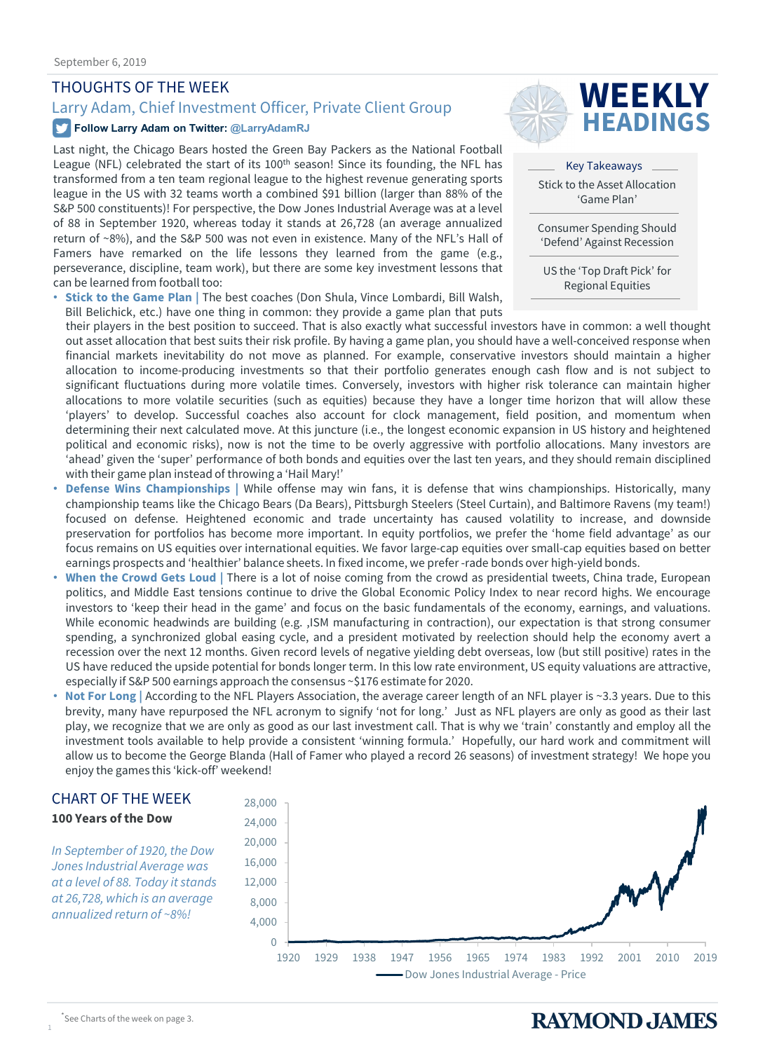### THOUGHTS OF THE WEEK

#### **Follow Larry Adam on Twitter: @LarryAdamRJ**

Last night, the Chicago Bears hosted the Green Bay Packers as the National Football League (NFL) celebrated the start of its  $100<sup>th</sup>$  season! Since its founding, the NFL has transformed from a ten team regional league to the highest revenue generating sports league in the US with 32 teams worth a combined \$91 billion (larger than 88% of the S&P 500 constituents)! For perspective, the Dow Jones Industrial Average was at a level of 88 in September 1920, whereas today it stands at 26,728 (an average annualized return of ~8%), and the S&P 500 was not even in existence. Many of the NFL's Hall of Famers have remarked on the life lessons they learned from the game (e.g., perseverance, discipline, team work), but there are some key investment lessons that can be learned from football too:

• **Stick to the Game Plan |** The best coaches (Don Shula, Vince Lombardi, Bill Walsh, Bill Belichick, etc.) have one thing in common: they provide a game plan that puts



Key Takeaways Stick to the Asset Allocation 'Game Plan'

Consumer Spending Should 'Defend' Against Recession

US the 'Top Draft Pick' for Regional Equities

their players in the best position to succeed. That is also exactly what successful investors have in common: a well thought out asset allocation that best suits their risk profile. By having a game plan, you should have a well-conceived response when financial markets inevitability do not move as planned. For example, conservative investors should maintain a higher allocation to income-producing investments so that their portfolio generates enough cash flow and is not subject to significant fluctuations during more volatile times. Conversely, investors with higher risk tolerance can maintain higher allocations to more volatile securities (such as equities) because they have a longer time horizon that will allow these 'players' to develop. Successful coaches also account for clock management, field position, and momentum when determining their next calculated move. At this juncture (i.e., the longest economic expansion in US history and heightened political and economic risks), now is not the time to be overly aggressive with portfolio allocations. Many investors are 'ahead' given the 'super' performance of both bonds and equities over the last ten years, and they should remain disciplined with their game plan instead of throwing a 'Hail Mary!'

- **Defense Wins Championships |** While offense may win fans, it is defense that wins championships. Historically, many championship teams like the Chicago Bears (Da Bears), Pittsburgh Steelers (Steel Curtain), and Baltimore Ravens (my team!) focused on defense. Heightened economic and trade uncertainty has caused volatility to increase, and downside preservation for portfolios has become more important. In equity portfolios, we prefer the 'home field advantage' as our focus remains on US equities over international equities. We favor large-cap equities over small-cap equities based on better earnings prospects and 'healthier' balance sheets. In fixed income, we prefer -rade bonds over high-yield bonds.
- **When the Crowd Gets Loud |** There is a lot of noise coming from the crowd as presidential tweets, China trade, European politics, and Middle East tensions continue to drive the Global Economic Policy Index to near record highs. We encourage investors to 'keep their head in the game' and focus on the basic fundamentals of the economy, earnings, and valuations. While economic headwinds are building (e.g. ,ISM manufacturing in contraction), our expectation is that strong consumer spending, a synchronized global easing cycle, and a president motivated by reelection should help the economy avert a recession over the next 12 months. Given record levels of negative yielding debt overseas, low (but still positive) rates in the US have reduced the upside potential for bonds longer term. In this low rate environment, US equity valuations are attractive, especially if S&P 500 earnings approach the consensus ~\$176 estimate for 2020.
- **Not For Long |** According to the NFL Players Association, the average career length of an NFL player is ~3.3 years. Due to this brevity, many have repurposed the NFL acronym to signify 'not for long.' Just as NFL players are only as good as their last play, we recognize that we are only as good as our last investment call. That is why we 'train' constantly and employ all the investment tools available to help provide a consistent 'winning formula.' Hopefully, our hard work and commitment will allow us to become the George Blanda (Hall of Famer who played a record 26 seasons) of investment strategy! We hope you enjoy the games this 'kick-off' weekend!

### CHART OF THE WEEK

#### **100 Years of the Dow**

*In September of 1920, the Dow Jones Industrial Average was at a level of 88. Today it stands at 26,728, which is an average annualized return of ~8%!*





1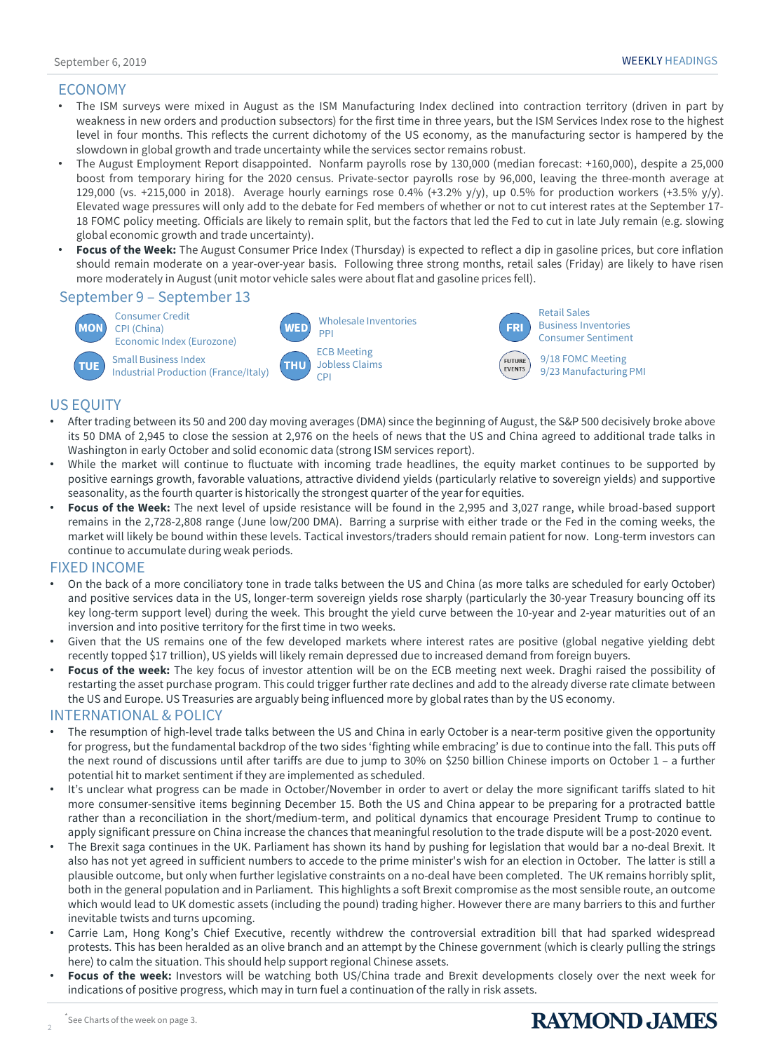### ECONOMY

- The ISM surveys were mixed in August as the ISM Manufacturing Index declined into contraction territory (driven in part by weakness in new orders and production subsectors) for the first time in three years, but the ISM Services Index rose to the highest level in four months. This reflects the current dichotomy of the US economy, as the manufacturing sector is hampered by the slowdown in global growth and trade uncertainty while the services sector remains robust.
- The August Employment Report disappointed. Nonfarm payrolls rose by 130,000 (median forecast: +160,000), despite a 25,000 boost from temporary hiring for the 2020 census. Private-sector payrolls rose by 96,000, leaving the three-month average at 129,000 (vs. +215,000 in 2018). Average hourly earnings rose 0.4% (+3.2% y/y), up 0.5% for production workers (+3.5% y/y). Elevated wage pressures will only add to the debate for Fed members of whether or not to cut interest rates at the September 17- 18 FOMC policy meeting. Officials are likely to remain split, but the factors that led the Fed to cut in late July remain (e.g. slowing global economic growth and trade uncertainty).
- **Focus of the Week:** The August Consumer Price Index (Thursday) is expected to reflect a dip in gasoline prices, but core inflation should remain moderate on a year-over-year basis. Following three strong months, retail sales (Friday) are likely to have risen more moderately in August(unit motor vehicle sales were about flat and gasoline prices fell).

#### September 9 – September 13



Industrial Production (France/Italy)





9/23 Manufacturing PMI

### US EQUITY

- After trading between its 50 and 200 day moving averages (DMA) since the beginning of August, the S&P 500 decisively broke above its 50 DMA of 2,945 to close the session at 2,976 on the heels of news that the US and China agreed to additional trade talks in Washington in early October and solid economic data (strong ISM services report).
- While the market will continue to fluctuate with incoming trade headlines, the equity market continues to be supported by positive earnings growth, favorable valuations, attractive dividend yields (particularly relative to sovereign yields) and supportive seasonality, as the fourth quarter is historically the strongest quarter of the year for equities.
- **Focus of the Week:** The next level of upside resistance will be found in the 2,995 and 3,027 range, while broad-based support remains in the 2,728-2,808 range (June low/200 DMA). Barring a surprise with either trade or the Fed in the coming weeks, the market will likely be bound within these levels. Tactical investors/traders should remain patient for now. Long-term investors can continue to accumulate during weak periods.

#### FIXED INCOME

- On the back of a more conciliatory tone in trade talks between the US and China (as more talks are scheduled for early October) and positive services data in the US, longer-term sovereign yields rose sharply (particularly the 30-year Treasury bouncing off its key long-term support level) during the week. This brought the yield curve between the 10-year and 2-year maturities out of an inversion and into positive territory for the first time in two weeks.
- Given that the US remains one of the few developed markets where interest rates are positive (global negative yielding debt recently topped \$17 trillion), US yields will likely remain depressed due to increased demand from foreign buyers.
- **Focus of the week:** The key focus of investor attention will be on the ECB meeting next week. Draghi raised the possibility of restarting the asset purchase program. This could trigger further rate declines and add to the already diverse rate climate between the US and Europe. US Treasuries are arguably being influenced more by globalrates than by the US economy.

#### INTERNATIONAL & POLICY

- The resumption of high-level trade talks between the US and China in early October is a near-term positive given the opportunity for progress, but the fundamental backdrop of the two sides 'fighting while embracing' is due to continue into the fall. This puts off the next round of discussions until after tariffs are due to jump to 30% on \$250 billion Chinese imports on October 1 – a further potential hit to market sentiment if they are implemented as scheduled.
- It's unclear what progress can be made in October/November in order to avert or delay the more significant tariffs slated to hit more consumer-sensitive items beginning December 15. Both the US and China appear to be preparing for a protracted battle rather than a reconciliation in the short/medium-term, and political dynamics that encourage President Trump to continue to apply significant pressure on China increase the chances that meaningful resolution to the trade dispute will be a post-2020 event.
- The Brexit saga continues in the UK. Parliament has shown its hand by pushing for legislation that would bar a no-deal Brexit. It also has not yet agreed in sufficient numbers to accede to the prime minister's wish for an election in October. The latter is still a plausible outcome, but only when further legislative constraints on a no-deal have been completed. The UK remains horribly split, both in the general population and in Parliament. This highlights a soft Brexit compromise as the most sensible route, an outcome which would lead to UK domestic assets (including the pound) trading higher. However there are many barriers to this and further inevitable twists and turns upcoming.
- Carrie Lam, Hong Kong's Chief Executive, recently withdrew the controversial extradition bill that had sparked widespread protests. This has been heralded as an olive branch and an attempt by the Chinese government (which is clearly pulling the strings here) to calm the situation. This should help support regional Chinese assets.
- **Focus of the week:** Investors will be watching both US/China trade and Brexit developments closely over the next week for indications of positive progress, which may in turn fuel a continuation of the rally in risk assets.

2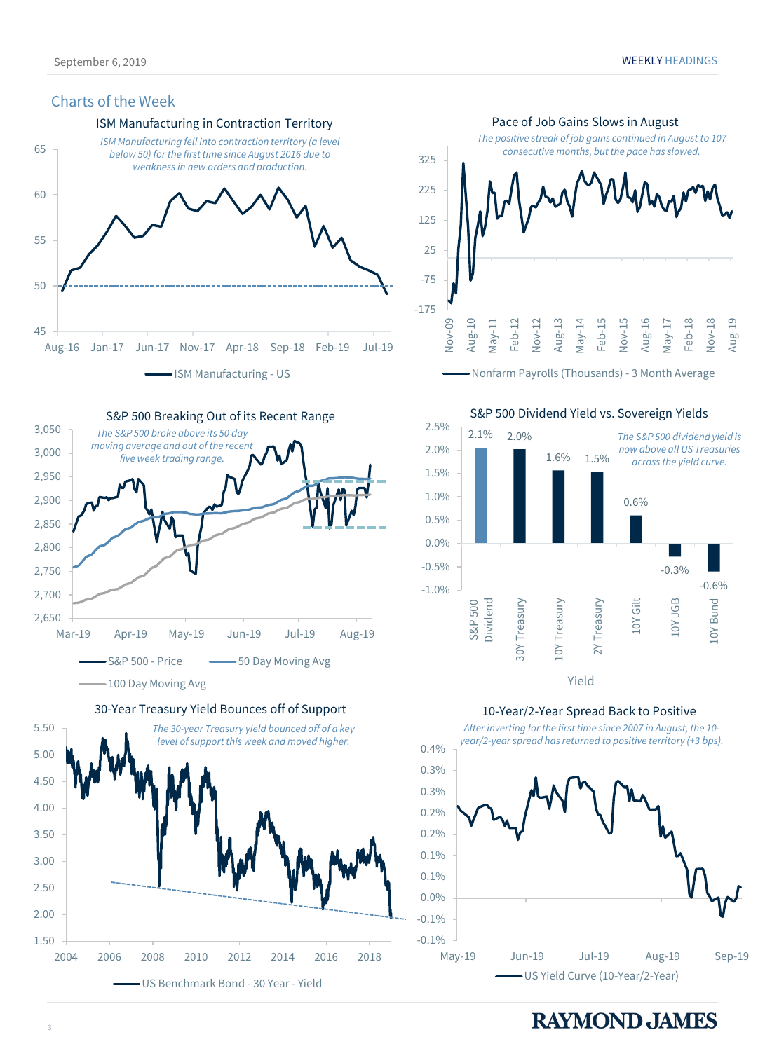#### Charts of the Week



S&P 500 Breaking Out of its Recent Range



30-Year Treasury Yield Bounces off of Support





Nonfarm Payrolls (Thousands) - 3 Month Average

S&P 500 Dividend Yield vs. Sovereign Yields 2.5% 2.1% 2.0% *The S&P 500 dividend yield is*  2.0% *now above all US Treasuries* 1.6% 1.5% *across the yield curve.* 1.5% 1.0% 0.6% 0.5% 0.0%  $-0.5%$ -0.3%  $-1.0\%$  -0.6% 10Y JGB Dividend 30Y Treasury 10Y Treasury 2Y Treasury 10Y Gilt 10Y Bund S&P 500 30Y Treasury Treasury LOY Treasur  $\geq$ Yield

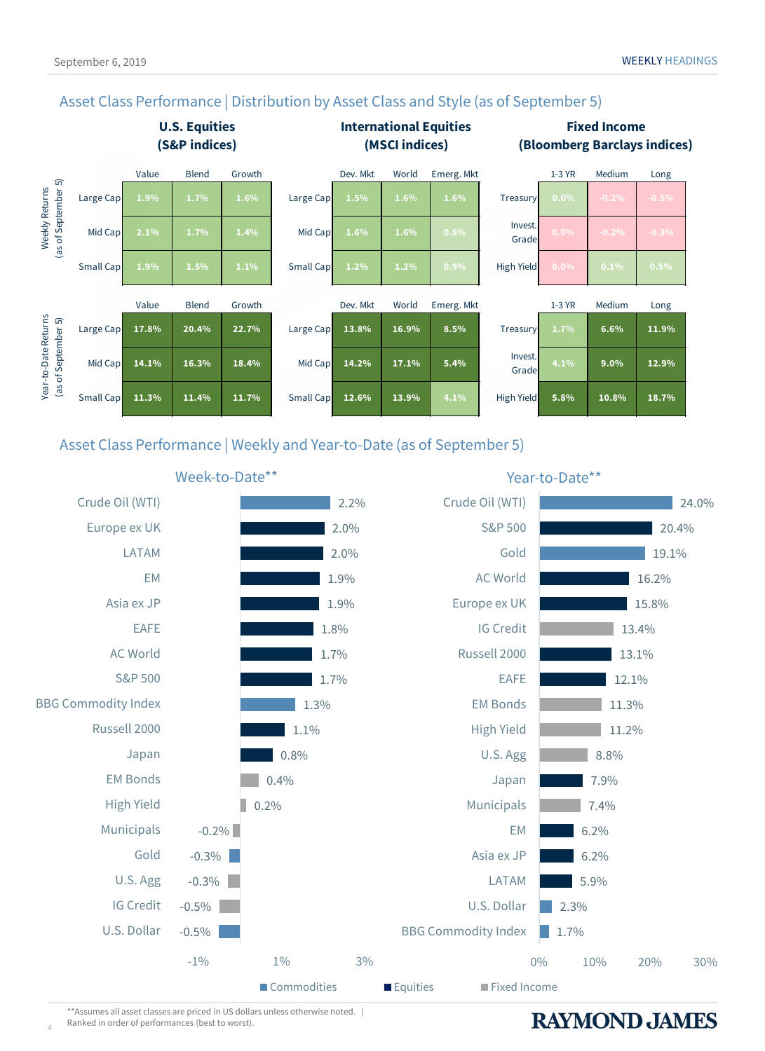

### Asset Class Performance | Distribution by Asset Class and Style (as of September 5)

### Asset Class Performance | Weekly and Year-to-Date (as of September 5)



\*\*Assumes all asset classes are priced in US dollars unless otherwise noted. | Ranked in order of performances (best to worst).

4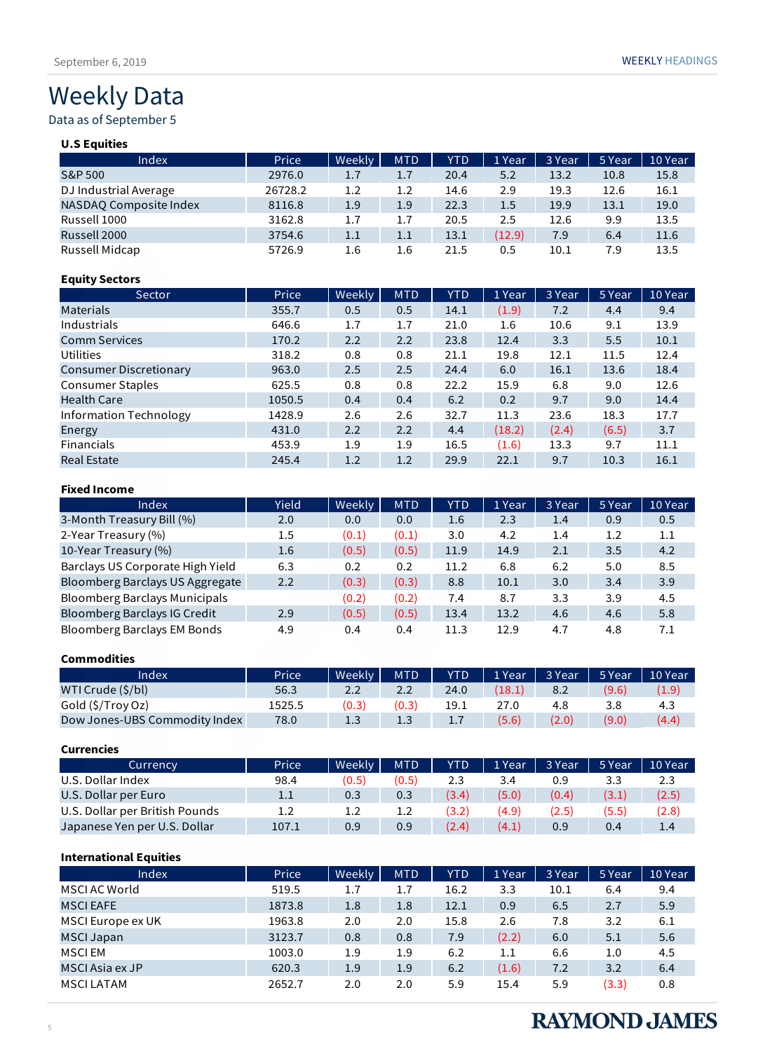# Weekly Data

### Data as of September 5

#### **U.S Equities**

| Index                  | Price   | Weekly | <b>MTD</b> | <b>YTD</b> | 1 Year | 3 Year | 5 Year | 10 Year |
|------------------------|---------|--------|------------|------------|--------|--------|--------|---------|
| <b>S&amp;P 500</b>     | 2976.0  | 1.7    | 1.7        | 20.4       | 5.2    | 13.2   | 10.8   | 15.8    |
| DJ Industrial Average  | 26728.2 | 1.2    | $1.2\,$    | 14.6       | 2.9    | 19.3   | 12.6   | 16.1    |
| NASDAO Composite Index | 8116.8  | 1.9    | 1.9        | 22.3       | 1.5    | 19.9   | 13.1   | 19.0    |
| Russell 1000           | 3162.8  | 1.7    | 1.7        | 20.5       | 2.5    | 12.6   | 9.9    | 13.5    |
| Russell 2000           | 3754.6  | 1.1    | 1.1        | 13.1       | (12.9) | 7.9    | 6.4    | 11.6    |
| Russell Midcap         | 5726.9  | 1.6    | 1.6        | 21.5       | 0.5    | 10.1   | 7.9    | 13.5    |

#### **Equity Sectors**

| Sector                        | Price  | Weekly | <b>MTD</b> | <b>YTD</b> | 1 Year | 3 Year | 5 Year | 10 Year |
|-------------------------------|--------|--------|------------|------------|--------|--------|--------|---------|
| <b>Materials</b>              | 355.7  | 0.5    | 0.5        | 14.1       | (1.9)  | 7.2    | 4.4    | 9.4     |
| Industrials                   | 646.6  | 1.7    | 1.7        | 21.0       | 1.6    | 10.6   | 9.1    | 13.9    |
| <b>Comm Services</b>          | 170.2  | 2.2    | 2.2        | 23.8       | 12.4   | 3.3    | 5.5    | 10.1    |
| <b>Utilities</b>              | 318.2  | 0.8    | 0.8        | 21.1       | 19.8   | 12.1   | 11.5   | 12.4    |
| <b>Consumer Discretionary</b> | 963.0  | 2.5    | 2.5        | 24.4       | 6.0    | 16.1   | 13.6   | 18.4    |
| <b>Consumer Staples</b>       | 625.5  | 0.8    | 0.8        | 22.2       | 15.9   | 6.8    | 9.0    | 12.6    |
| <b>Health Care</b>            | 1050.5 | 0.4    | 0.4        | 6.2        | 0.2    | 9.7    | 9.0    | 14.4    |
| Information Technology        | 1428.9 | 2.6    | 2.6        | 32.7       | 11.3   | 23.6   | 18.3   | 17.7    |
| Energy                        | 431.0  | 2.2    | 2.2        | 4.4        | (18.2) | (2.4)  | (6.5)  | 3.7     |
| <b>Financials</b>             | 453.9  | 1.9    | 1.9        | 16.5       | (1.6)  | 13.3   | 9.7    | 11.1    |
| <b>Real Estate</b>            | 245.4  | 1.2    | 1.2        | 29.9       | 22.1   | 9.7    | 10.3   | 16.1    |

#### **Fixed Income**

| Index                                | <b>Yield</b> | Weekly | <b>MTD</b> | YTD  | 1 Year | 3 Year | 5 Year | 10 Year |
|--------------------------------------|--------------|--------|------------|------|--------|--------|--------|---------|
| 3-Month Treasury Bill (%)            | 2.0          | 0.0    | 0.0        | 1.6  | 2.3    | 1.4    | 0.9    | 0.5     |
| 2-Year Treasury (%)                  | 1.5          | (0.1)  | (0.1)      | 3.0  | 4.2    | 1.4    | 1.2    | 1.1     |
| 10-Year Treasury (%)                 | 1.6          | (0.5)  | (0.5)      | 11.9 | 14.9   | 2.1    | 3.5    | 4.2     |
| Barclays US Corporate High Yield     | 6.3          | 0.2    | 0.2        | 11.2 | 6.8    | 6.2    | 5.0    | 8.5     |
| Bloomberg Barclays US Aggregate      | 2.2          | (0.3)  | (0.3)      | 8.8  | 10.1   | 3.0    | 3.4    | 3.9     |
| <b>Bloomberg Barclays Municipals</b> |              | (0.2)  | (0.2)      | 7.4  | 8.7    | 3.3    | 3.9    | 4.5     |
| Bloomberg Barclays IG Credit         | 2.9          | (0.5)  | (0.5)      | 13.4 | 13.2   | 4.6    | 4.6    | 5.8     |
| <b>Bloomberg Barclays EM Bonds</b>   | 4.9          | 0.4    | 0.4        | 11.3 | 12.9   | 4.7    | 4.8    | 7.1     |

#### **Commodities**

| Index                         | Price  | Weekly <b>N</b> | <b>MTD</b> | <b>YTD</b> | 1 Year | 3 Year | 5 Year | 10 Year |
|-------------------------------|--------|-----------------|------------|------------|--------|--------|--------|---------|
| WTI Crude (\$/bl)             | 56.3   | 2.2             | 2.2        | 24.0       | (18.1) | 8.2    | (9.6)  | (1.9)   |
| Gold (\$/Troy Oz)             | 1525.5 | 0.3             |            | 19.1       |        | 4.8    | 3.8    | 4.3     |
| Dow Jones-UBS Commodity Index | 78.0   | 1.3             | 1.3        | 1.7        | (5.6)  | (2.0)  | (9.0)  | (4.4)   |

#### **Currencies** Currency **Price Weekly MTD YTD 1 Year 3 Year 5 Year 10 Year** U.S. Dollar Index 98.4 (0.5) (0.5) 2.3 3.4 0.9 3.3 2.3 U.S. Dollar per Euro<br>
U.S. Dollar per British Pounds<br>
1.2 1.2 1.2 (3.2) (4.9) (2.5) (5.5) (2.8) U.S. Dollar per British Pounds 1.2 1.2 1.2 (3.2) (4.9) (2.5) (5.5) (2.8) Japanese Yen per U.S. Dollar 107.1 0.9 0.9 (2.4) (4.1) 0.9 0.4 1.4

#### **International Equities**

| Index             | Price  | Weekly | <b>MTD</b> | YTD  | 1 Year | 3 Year | 5 Year | 10 Year |
|-------------------|--------|--------|------------|------|--------|--------|--------|---------|
| MSCI AC World     | 519.5  | 1.7    | 1.7        | 16.2 | 3.3    | 10.1   | 6.4    | 9.4     |
| <b>MSCIEAFE</b>   | 1873.8 | 1.8    | 1.8        | 12.1 | 0.9    | 6.5    | 2.7    | 5.9     |
| MSCI Europe ex UK | 1963.8 | 2.0    | 2.0        | 15.8 | 2.6    | 7.8    | 3.2    | 6.1     |
| <b>MSCI Japan</b> | 3123.7 | 0.8    | 0.8        | 7.9  | (2.2)  | 6.0    | 5.1    | 5.6     |
| MSCI EM           | 1003.0 | 1.9    | 1.9        | 6.2  | 1.1    | 6.6    | 1.0    | 4.5     |
| MSCI Asia ex JP   | 620.3  | 1.9    | 1.9        | 6.2  | (1.6)  | 7.2    | 3.2    | 6.4     |
| <b>MSCILATAM</b>  | 2652.7 | 2.0    | 2.0        | 5.9  | 15.4   | 5.9    | (3.3)  | 0.8     |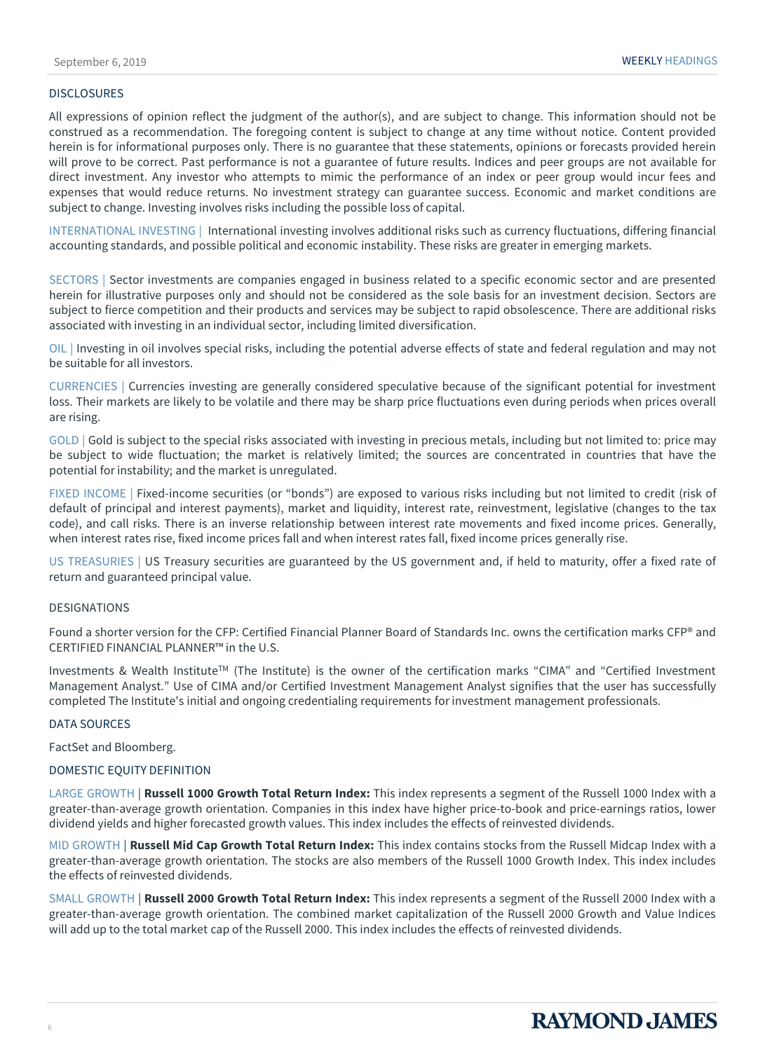#### DISCLOSURES

All expressions of opinion reflect the judgment of the author(s), and are subject to change. This information should not be construed as a recommendation. The foregoing content is subject to change at any time without notice. Content provided herein is for informational purposes only. There is no guarantee that these statements, opinions or forecasts provided herein will prove to be correct. Past performance is not a guarantee of future results. Indices and peer groups are not available for direct investment. Any investor who attempts to mimic the performance of an index or peer group would incur fees and expenses that would reduce returns. No investment strategy can guarantee success. Economic and market conditions are subject to change. Investing involves risks including the possible loss of capital.

INTERNATIONAL INVESTING | International investing involves additional risks such as currency fluctuations, differing financial accounting standards, and possible political and economic instability. These risks are greater in emerging markets.

SECTORS | Sector investments are companies engaged in business related to a specific economic sector and are presented herein for illustrative purposes only and should not be considered as the sole basis for an investment decision. Sectors are subject to fierce competition and their products and services may be subject to rapid obsolescence. There are additional risks associated with investing in an individual sector, including limited diversification.

OIL | Investing in oil involves special risks, including the potential adverse effects of state and federal regulation and may not be suitable for all investors.

CURRENCIES | Currencies investing are generally considered speculative because of the significant potential for investment loss. Their markets are likely to be volatile and there may be sharp price fluctuations even during periods when prices overall are rising.

GOLD | Gold is subject to the special risks associated with investing in precious metals, including but not limited to: price may be subject to wide fluctuation; the market is relatively limited; the sources are concentrated in countries that have the potential for instability; and the market is unregulated.

FIXED INCOME | Fixed-income securities (or "bonds") are exposed to various risks including but not limited to credit (risk of default of principal and interest payments), market and liquidity, interest rate, reinvestment, legislative (changes to the tax code), and call risks. There is an inverse relationship between interest rate movements and fixed income prices. Generally, when interest rates rise, fixed income prices fall and when interest rates fall, fixed income prices generally rise.

US TREASURIES | US Treasury securities are guaranteed by the US government and, if held to maturity, offer a fixed rate of return and guaranteed principal value.

#### **DESIGNATIONS**

Found a shorter version for the CFP: Certified Financial Planner Board of Standards Inc. owns the certification marks CFP® and CERTIFIED FINANCIAL PLANNER™ in the U.S.

Investments & Wealth Institute<sup>TM</sup> (The Institute) is the owner of the certification marks "CIMA" and "Certified Investment Management Analyst." Use of CIMA and/or Certified Investment Management Analyst signifies that the user has successfully completed The Institute's initial and ongoing credentialing requirements for investment management professionals.

#### DATA SOURCES

FactSet and Bloomberg.

#### DOMESTIC EQUITY DEFINITION

LARGE GROWTH | **Russell 1000 Growth Total Return Index:** This index represents a segment of the Russell 1000 Index with a greater-than-average growth orientation. Companies in this index have higher price-to-book and price-earnings ratios, lower dividend yields and higher forecasted growth values. This index includes the effects of reinvested dividends.

MID GROWTH | **Russell Mid Cap Growth Total Return Index:** This index contains stocks from the Russell Midcap Index with a greater-than-average growth orientation. The stocks are also members of the Russell 1000 Growth Index. This index includes the effects of reinvested dividends.

SMALL GROWTH | **Russell 2000 Growth Total Return Index:** This index represents a segment of the Russell 2000 Index with a greater-than-average growth orientation. The combined market capitalization of the Russell 2000 Growth and Value Indices will add up to the total market cap of the Russell 2000. This index includes the effects of reinvested dividends.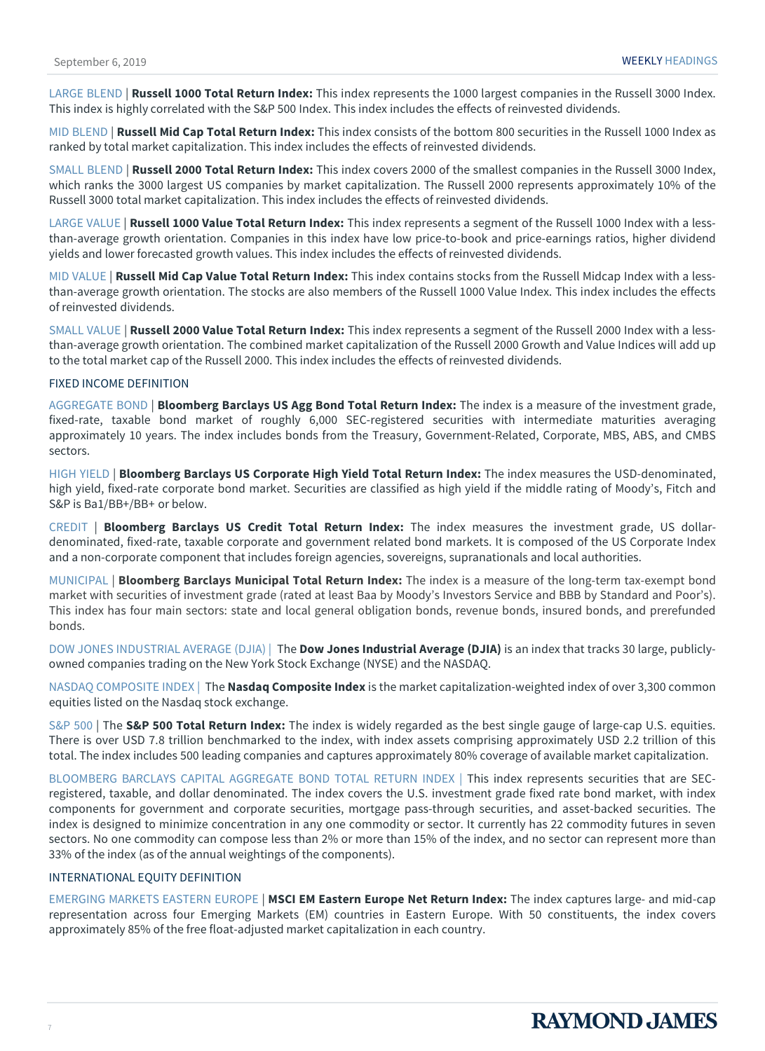LARGE BLEND | **Russell 1000 Total Return Index:** This index represents the 1000 largest companies in the Russell 3000 Index. This index is highly correlated with the S&P 500 Index. This index includes the effects of reinvested dividends.

MID BLEND | **Russell Mid Cap Total Return Index:** This index consists of the bottom 800 securities in the Russell 1000 Index as ranked by total market capitalization. This index includes the effects of reinvested dividends.

SMALL BLEND | **Russell 2000 Total Return Index:** This index covers 2000 of the smallest companies in the Russell 3000 Index, which ranks the 3000 largest US companies by market capitalization. The Russell 2000 represents approximately 10% of the Russell 3000 total market capitalization. This index includes the effects of reinvested dividends.

LARGE VALUE | **Russell 1000 Value Total Return Index:** This index represents a segment of the Russell 1000 Index with a lessthan-average growth orientation. Companies in this index have low price-to-book and price-earnings ratios, higher dividend yields and lower forecasted growth values. This index includes the effects of reinvested dividends.

MID VALUE | **Russell Mid Cap Value Total Return Index:** This index contains stocks from the Russell Midcap Index with a lessthan-average growth orientation. The stocks are also members of the Russell 1000 Value Index. This index includes the effects of reinvested dividends.

SMALL VALUE | **Russell 2000 Value Total Return Index:** This index represents a segment of the Russell 2000 Index with a lessthan-average growth orientation. The combined market capitalization of the Russell 2000 Growth and Value Indices will add up to the total market cap of the Russell 2000. This index includes the effects of reinvested dividends.

#### FIXED INCOME DEFINITION

AGGREGATE BOND | **Bloomberg Barclays US Agg Bond Total Return Index:** The index is a measure of the investment grade, fixed-rate, taxable bond market of roughly 6,000 SEC-registered securities with intermediate maturities averaging approximately 10 years. The index includes bonds from the Treasury, Government-Related, Corporate, MBS, ABS, and CMBS sectors.

HIGH YIELD | **Bloomberg Barclays US Corporate High Yield Total Return Index:** The index measures the USD-denominated, high yield, fixed-rate corporate bond market. Securities are classified as high yield if the middle rating of Moody's, Fitch and S&P is Ba1/BB+/BB+ or below.

CREDIT | **Bloomberg Barclays US Credit Total Return Index:** The index measures the investment grade, US dollardenominated, fixed-rate, taxable corporate and government related bond markets. It is composed of the US Corporate Index and a non-corporate component that includes foreign agencies, sovereigns, supranationals and local authorities.

MUNICIPAL | **Bloomberg Barclays Municipal Total Return Index:** The index is a measure of the long-term tax-exempt bond market with securities of investment grade (rated at least Baa by Moody's Investors Service and BBB by Standard and Poor's). This index has four main sectors: state and local general obligation bonds, revenue bonds, insured bonds, and prerefunded bonds.

DOW JONES INDUSTRIAL AVERAGE (DJIA) | The **Dow Jones Industrial Average (DJIA)** is an index that tracks 30 large, publiclyowned companies trading on the New York Stock Exchange (NYSE) and the NASDAQ.

NASDAQ COMPOSITE INDEX | The **Nasdaq Composite Index** is the market capitalization-weighted index of over 3,300 common equities listed on the Nasdaq stock exchange.

S&P 500 | The **S&P 500 Total Return Index:** The index is widely regarded as the best single gauge of large-cap U.S. equities. There is over USD 7.8 trillion benchmarked to the index, with index assets comprising approximately USD 2.2 trillion of this total. The index includes 500 leading companies and captures approximately 80% coverage of available market capitalization.

BLOOMBERG BARCLAYS CAPITAL AGGREGATE BOND TOTAL RETURN INDEX | This index represents securities that are SECregistered, taxable, and dollar denominated. The index covers the U.S. investment grade fixed rate bond market, with index components for government and corporate securities, mortgage pass-through securities, and asset-backed securities. The index is designed to minimize concentration in any one commodity or sector. It currently has 22 commodity futures in seven sectors. No one commodity can compose less than 2% or more than 15% of the index, and no sector can represent more than 33% of the index (as of the annual weightings of the components).

#### INTERNATIONAL EQUITY DEFINITION

EMERGING MARKETS EASTERN EUROPE | **MSCI EM Eastern Europe Net Return Index:** The index captures large- and mid-cap representation across four Emerging Markets (EM) countries in Eastern Europe. With 50 constituents, the index covers approximately 85% of the free float-adjusted market capitalization in each country.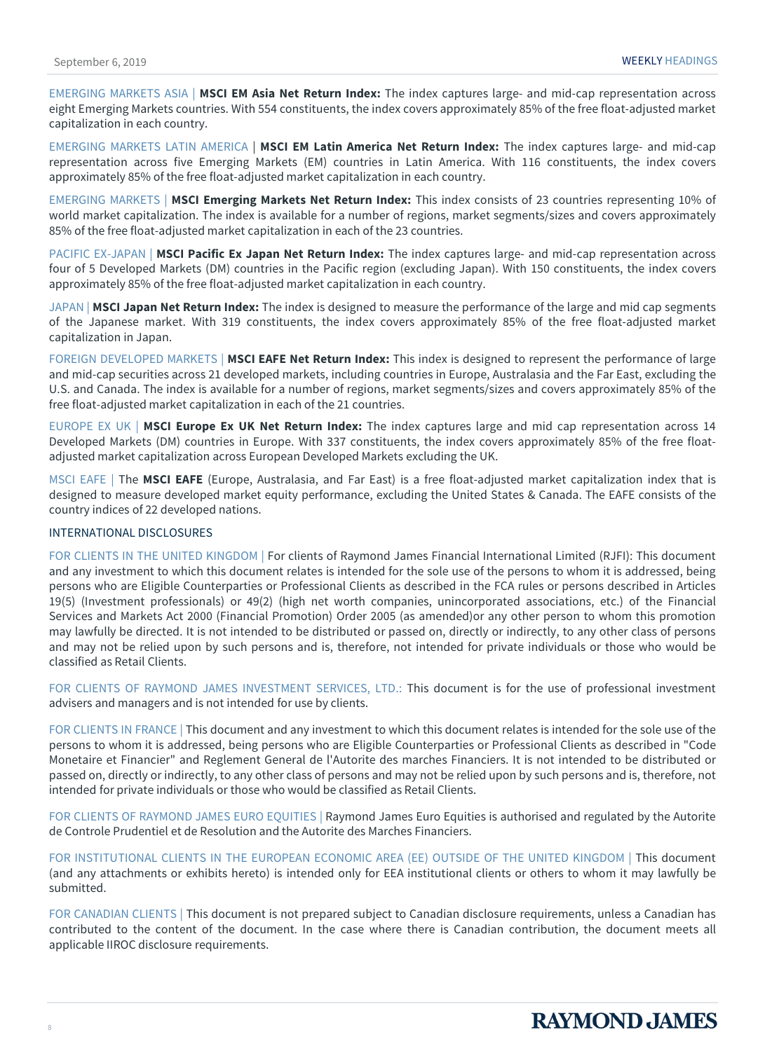EMERGING MARKETS ASIA | **MSCI EM Asia Net Return Index:** The index captures large- and mid-cap representation across eight Emerging Markets countries. With 554 constituents, the index covers approximately 85% of the free float-adjusted market capitalization in each country.

EMERGING MARKETS LATIN AMERICA | **MSCI EM Latin America Net Return Index:** The index captures large- and mid-cap representation across five Emerging Markets (EM) countries in Latin America. With 116 constituents, the index covers approximately 85% of the free float-adjusted market capitalization in each country.

EMERGING MARKETS | **MSCI Emerging Markets Net Return Index:** This index consists of 23 countries representing 10% of world market capitalization. The index is available for a number of regions, market segments/sizes and covers approximately 85% of the free float-adjusted market capitalization in each of the 23 countries.

PACIFIC EX-JAPAN | **MSCI Pacific Ex Japan Net Return Index:** The index captures large- and mid-cap representation across four of 5 Developed Markets (DM) countries in the Pacific region (excluding Japan). With 150 constituents, the index covers approximately 85% of the free float-adjusted market capitalization in each country.

JAPAN | **MSCI Japan Net Return Index:** The index is designed to measure the performance of the large and mid cap segments of the Japanese market. With 319 constituents, the index covers approximately 85% of the free float-adjusted market capitalization in Japan.

FOREIGN DEVELOPED MARKETS | **MSCI EAFE Net Return Index:** This index is designed to represent the performance of large and mid-cap securities across 21 developed markets, including countries in Europe, Australasia and the Far East, excluding the U.S. and Canada. The index is available for a number of regions, market segments/sizes and covers approximately 85% of the free float-adjusted market capitalization in each of the 21 countries.

EUROPE EX UK | **MSCI Europe Ex UK Net Return Index:** The index captures large and mid cap representation across 14 Developed Markets (DM) countries in Europe. With 337 constituents, the index covers approximately 85% of the free floatadjusted market capitalization across European Developed Markets excluding the UK.

MSCI EAFE | The **MSCI EAFE** (Europe, Australasia, and Far East) is a free float-adjusted market capitalization index that is designed to measure developed market equity performance, excluding the United States & Canada. The EAFE consists of the country indices of 22 developed nations.

#### INTERNATIONAL DISCLOSURES

FOR CLIENTS IN THE UNITED KINGDOM | For clients of Raymond James Financial International Limited (RJFI): This document and any investment to which this document relates is intended for the sole use of the persons to whom it is addressed, being persons who are Eligible Counterparties or Professional Clients as described in the FCA rules or persons described in Articles 19(5) (Investment professionals) or 49(2) (high net worth companies, unincorporated associations, etc.) of the Financial Services and Markets Act 2000 (Financial Promotion) Order 2005 (as amended)or any other person to whom this promotion may lawfully be directed. It is not intended to be distributed or passed on, directly or indirectly, to any other class of persons and may not be relied upon by such persons and is, therefore, not intended for private individuals or those who would be classified as Retail Clients.

FOR CLIENTS OF RAYMOND JAMES INVESTMENT SERVICES, LTD.: This document is for the use of professional investment advisers and managers and is not intended for use by clients.

FOR CLIENTS IN FRANCE | This document and any investment to which this document relates is intended for the sole use of the persons to whom it is addressed, being persons who are Eligible Counterparties or Professional Clients as described in "Code Monetaire et Financier" and Reglement General de l'Autorite des marches Financiers. It is not intended to be distributed or passed on, directly or indirectly, to any other class of persons and may not be relied upon by such persons and is, therefore, not intended for private individuals or those who would be classified as Retail Clients.

FOR CLIENTS OF RAYMOND JAMES EURO EQUITIES | Raymond James Euro Equities is authorised and regulated by the Autorite de Controle Prudentiel et de Resolution and the Autorite des Marches Financiers.

FOR INSTITUTIONAL CLIENTS IN THE EUROPEAN ECONOMIC AREA (EE) OUTSIDE OF THE UNITED KINGDOM | This document (and any attachments or exhibits hereto) is intended only for EEA institutional clients or others to whom it may lawfully be submitted.

FOR CANADIAN CLIENTS | This document is not prepared subject to Canadian disclosure requirements, unless a Canadian has contributed to the content of the document. In the case where there is Canadian contribution, the document meets all applicable IIROC disclosure requirements.